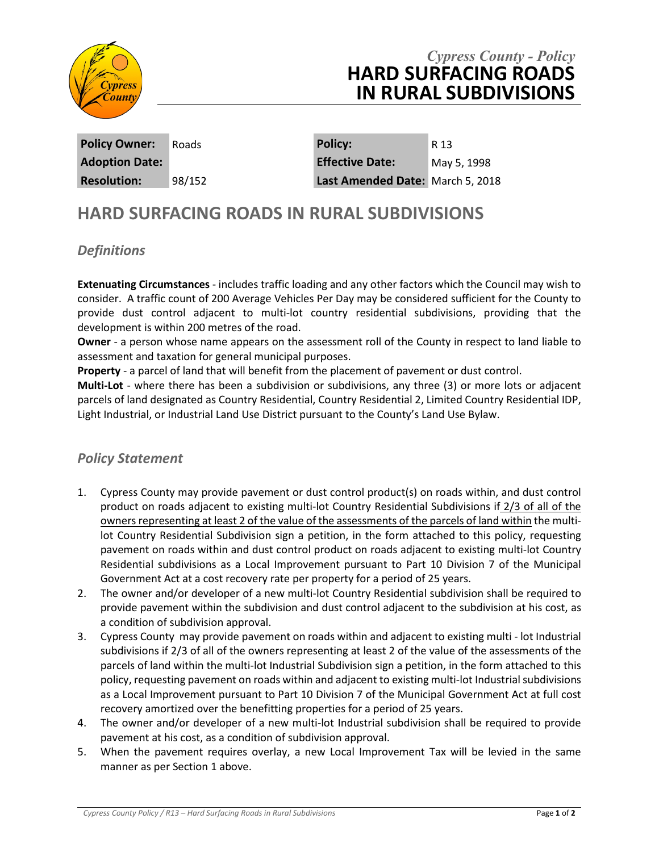

## *Cypress County - Policy* **HARD SURFACING ROADS IN RURAL SUBDIVISIONS**

**Policy Owner:** Roads **Policy:** R 13 **Adoption Date: Effective Date:** May 5, 1998 **Resolution:** 98/152 **Last Amended Date:** March 5, 2018

# **HARD SURFACING ROADS IN RURAL SUBDIVISIONS**

### *Definitions*

**Extenuating Circumstances** - includes traffic loading and any other factors which the Council may wish to consider. A traffic count of 200 Average Vehicles Per Day may be considered sufficient for the County to provide dust control adjacent to multi-lot country residential subdivisions, providing that the development is within 200 metres of the road.

**Owner** - a person whose name appears on the assessment roll of the County in respect to land liable to assessment and taxation for general municipal purposes.

**Property** - a parcel of land that will benefit from the placement of pavement or dust control.

**Multi-Lot** - where there has been a subdivision or subdivisions, any three (3) or more lots or adjacent parcels of land designated as Country Residential, Country Residential 2, Limited Country Residential IDP, Light Industrial, or Industrial Land Use District pursuant to the County's Land Use Bylaw.

#### *Policy Statement*

- 1. Cypress County may provide pavement or dust control product(s) on roads within, and dust control product on roads adjacent to existing multi-lot Country Residential Subdivisions if 2/3 of all of the owners representing at least 2 of the value of the assessments of the parcels of land within the multilot Country Residential Subdivision sign a petition, in the form attached to this policy, requesting pavement on roads within and dust control product on roads adjacent to existing multi-lot Country Residential subdivisions as a Local Improvement pursuant to Part 10 Division 7 of the Municipal Government Act at a cost recovery rate per property for a period of 25 years.
- 2. The owner and/or developer of a new multi-lot Country Residential subdivision shall be required to provide pavement within the subdivision and dust control adjacent to the subdivision at his cost, as a condition of subdivision approval.
- 3. Cypress County may provide pavement on roads within and adjacent to existing multi lot Industrial subdivisions if 2/3 of all of the owners representing at least 2 of the value of the assessments of the parcels of land within the multi-lot Industrial Subdivision sign a petition, in the form attached to this policy, requesting pavement on roads within and adjacent to existing multi-lot Industrial subdivisions as a Local Improvement pursuant to Part 10 Division 7 of the Municipal Government Act at full cost recovery amortized over the benefitting properties for a period of 25 years.
- 4. The owner and/or developer of a new multi-lot Industrial subdivision shall be required to provide pavement at his cost, as a condition of subdivision approval.
- 5. When the pavement requires overlay, a new Local Improvement Tax will be levied in the same manner as per Section 1 above.